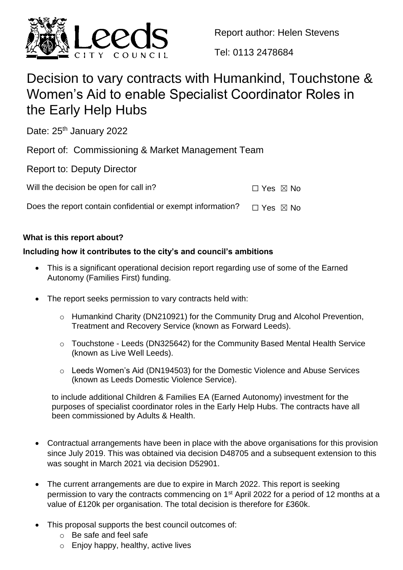

Report author: Helen Stevens

Tel: 0113 2478684

# Decision to vary contracts with Humankind, Touchstone & Women's Aid to enable Specialist Coordinator Roles in the Early Help Hubs

Date: 25<sup>th</sup> January 2022

Report of: Commissioning & Market Management Team

Report to: Deputy Director

| $\Box$ Yes $\boxtimes$ No |
|---------------------------|

Does the report contain confidential or exempt information?  $□$  Yes  $□$  No

# **What is this report about?**

# **Including how it contributes to the city's and council's ambitions**

- This is a significant operational decision report regarding use of some of the Earned Autonomy (Families First) funding.
- The report seeks permission to vary contracts held with:
	- o Humankind Charity (DN210921) for the Community Drug and Alcohol Prevention, Treatment and Recovery Service (known as Forward Leeds).
	- o Touchstone Leeds (DN325642) for the Community Based Mental Health Service (known as Live Well Leeds).
	- o Leeds Women's Aid (DN194503) for the Domestic Violence and Abuse Services (known as Leeds Domestic Violence Service).

to include additional Children & Families EA (Earned Autonomy) investment for the purposes of specialist coordinator roles in the Early Help Hubs. The contracts have all been commissioned by Adults & Health.

- Contractual arrangements have been in place with the above organisations for this provision since July 2019. This was obtained via decision D48705 and a subsequent extension to this was sought in March 2021 via decision D52901.
- The current arrangements are due to expire in March 2022. This report is seeking permission to vary the contracts commencing on 1<sup>st</sup> April 2022 for a period of 12 months at a value of £120k per organisation. The total decision is therefore for £360k.
- This proposal supports the best council outcomes of:
	- o Be safe and feel safe
	- $\circ$  Enjoy happy, healthy, active lives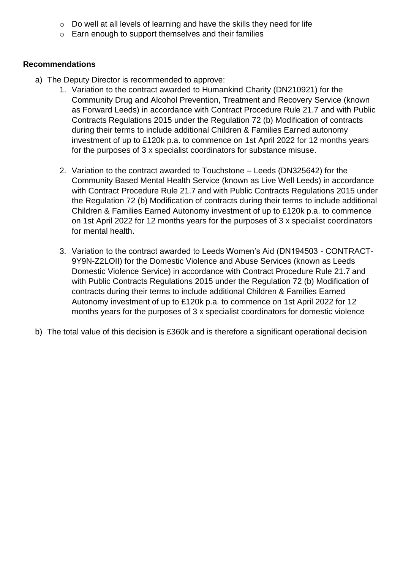- o Do well at all levels of learning and have the skills they need for life
- o Earn enough to support themselves and their families

#### **Recommendations**

- a) The Deputy Director is recommended to approve:
	- 1. Variation to the contract awarded to Humankind Charity (DN210921) for the Community Drug and Alcohol Prevention, Treatment and Recovery Service (known as Forward Leeds) in accordance with Contract Procedure Rule 21.7 and with Public Contracts Regulations 2015 under the Regulation 72 (b) Modification of contracts during their terms to include additional Children & Families Earned autonomy investment of up to £120k p.a. to commence on 1st April 2022 for 12 months years for the purposes of 3 x specialist coordinators for substance misuse.
	- 2. Variation to the contract awarded to Touchstone Leeds (DN325642) for the Community Based Mental Health Service (known as Live Well Leeds) in accordance with Contract Procedure Rule 21.7 and with Public Contracts Regulations 2015 under the Regulation 72 (b) Modification of contracts during their terms to include additional Children & Families Earned Autonomy investment of up to £120k p.a. to commence on 1st April 2022 for 12 months years for the purposes of 3 x specialist coordinators for mental health.
	- 3. Variation to the contract awarded to Leeds Women's Aid (DN194503 CONTRACT-9Y9N-Z2LOII) for the Domestic Violence and Abuse Services (known as Leeds Domestic Violence Service) in accordance with Contract Procedure Rule 21.7 and with Public Contracts Regulations 2015 under the Regulation 72 (b) Modification of contracts during their terms to include additional Children & Families Earned Autonomy investment of up to £120k p.a. to commence on 1st April 2022 for 12 months years for the purposes of 3 x specialist coordinators for domestic violence
- b) The total value of this decision is £360k and is therefore a significant operational decision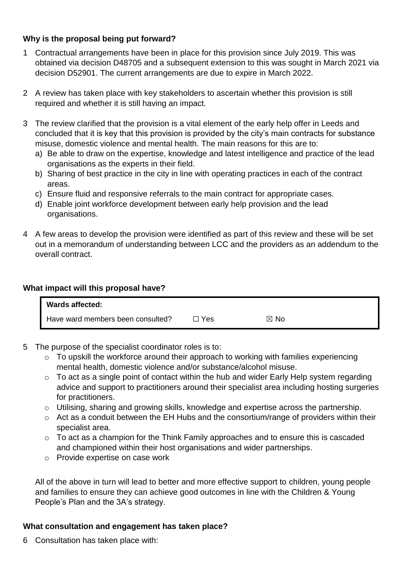## **Why is the proposal being put forward?**

- 1 Contractual arrangements have been in place for this provision since July 2019. This was obtained via decision D48705 and a subsequent extension to this was sought in March 2021 via decision D52901. The current arrangements are due to expire in March 2022.
- 2 A review has taken place with key stakeholders to ascertain whether this provision is still required and whether it is still having an impact.
- 3 The review clarified that the provision is a vital element of the early help offer in Leeds and concluded that it is key that this provision is provided by the city's main contracts for substance misuse, domestic violence and mental health. The main reasons for this are to:
	- a) Be able to draw on the expertise, knowledge and latest intelligence and practice of the lead organisations as the experts in their field.
	- b) Sharing of best practice in the city in line with operating practices in each of the contract areas.
	- c) Ensure fluid and responsive referrals to the main contract for appropriate cases.
	- d) Enable joint workforce development between early help provision and the lead organisations.
- 4 A few areas to develop the provision were identified as part of this review and these will be set out in a memorandum of understanding between LCC and the providers as an addendum to the overall contract.

#### **What impact will this proposal have?**

| <b>Wards affected:</b>            |     |                |  |
|-----------------------------------|-----|----------------|--|
| Have ward members been consulted? | Yes | $\boxtimes$ No |  |

- 5 The purpose of the specialist coordinator roles is to:
	- o To upskill the workforce around their approach to working with families experiencing mental health, domestic violence and/or substance/alcohol misuse.
	- $\circ$  To act as a single point of contact within the hub and wider Early Help system regarding advice and support to practitioners around their specialist area including hosting surgeries for practitioners.
	- o Utilising, sharing and growing skills, knowledge and expertise across the partnership.
	- o Act as a conduit between the EH Hubs and the consortium/range of providers within their specialist area.
	- o To act as a champion for the Think Family approaches and to ensure this is cascaded and championed within their host organisations and wider partnerships.
	- o Provide expertise on case work

All of the above in turn will lead to better and more effective support to children, young people and families to ensure they can achieve good outcomes in line with the Children & Young People's Plan and the 3A's strategy.

#### **What consultation and engagement has taken place?**

6 Consultation has taken place with: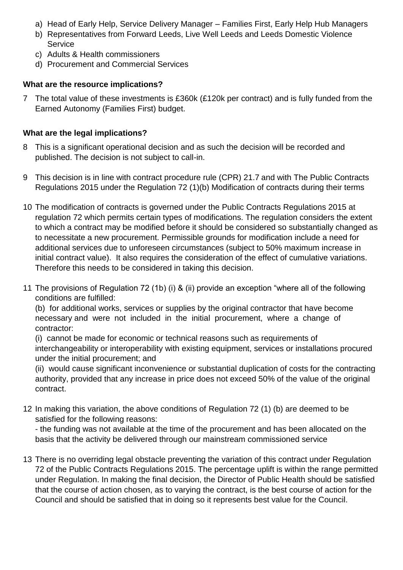- a) Head of Early Help, Service Delivery Manager Families First, Early Help Hub Managers
- b) Representatives from Forward Leeds, Live Well Leeds and Leeds Domestic Violence **Service**
- c) Adults & Health commissioners
- d) Procurement and Commercial Services

## **What are the resource implications?**

7 The total value of these investments is £360k (£120k per contract) and is fully funded from the Earned Autonomy (Families First) budget.

## **What are the legal implications?**

- 8 This is a significant operational decision and as such the decision will be recorded and published. The decision is not subject to call-in.
- 9 This decision is in line with contract procedure rule (CPR) 21.7 and with The Public Contracts Regulations 2015 under the Regulation 72 (1)(b) Modification of contracts during their terms
- 10 The modification of contracts is governed under the Public Contracts Regulations 2015 at regulation 72 which permits certain types of modifications. The regulation considers the extent to which a contract may be modified before it should be considered so substantially changed as to necessitate a new procurement. Permissible grounds for modification include a need for additional services due to unforeseen circumstances (subject to 50% maximum increase in initial contract value). It also requires the consideration of the effect of cumulative variations. Therefore this needs to be considered in taking this decision.
- 11 The provisions of Regulation 72 (1b) (i) & (ii) provide an exception "where all of the following conditions are fulfilled:

(b) for additional works, services or supplies by the original contractor that have become necessary and were not included in the initial procurement, where a change of contractor:

(i) cannot be made for economic or technical reasons such as requirements of interchangeability or interoperability with existing equipment, services or installations procured under the initial procurement; and

(ii) would cause significant inconvenience or substantial duplication of costs for the contracting authority, provided that any increase in price does not exceed 50% of the value of the original contract.

12 In making this variation, the above conditions of Regulation 72 (1) (b) are deemed to be satisfied for the following reasons:

- the funding was not available at the time of the procurement and has been allocated on the basis that the activity be delivered through our mainstream commissioned service

13 There is no overriding legal obstacle preventing the variation of this contract under Regulation 72 of the Public Contracts Regulations 2015. The percentage uplift is within the range permitted under Regulation. In making the final decision, the Director of Public Health should be satisfied that the course of action chosen, as to varying the contract, is the best course of action for the Council and should be satisfied that in doing so it represents best value for the Council.